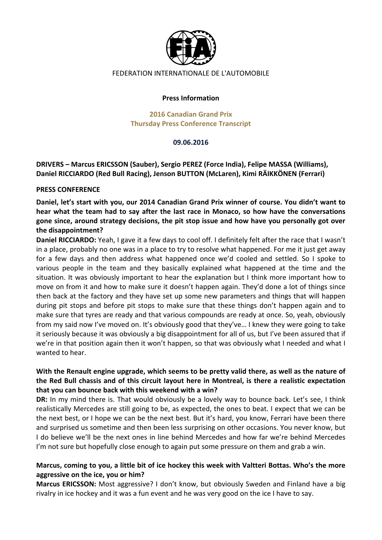

#### FEDERATION INTERNATIONALE DE L'AUTOMOBILE

#### **Press Information**

#### **2016 Canadian Grand Prix Thursday Press Conference Transcript**

#### **09.06.2016**

**DRIVERS** – Marcus ERICSSON (Sauber), Sergio PEREZ (Force India), Felipe MASSA (Williams), Daniel RICCIARDO (Red Bull Racing), Jenson BUTTON (McLaren), Kimi RÄIKKÖNEN (Ferrari)

#### **PRESS CONFERENCE**

Daniel, let's start with you, our 2014 Canadian Grand Prix winner of course. You didn't want to hear what the team had to say after the last race in Monaco, so how have the conversations gone since, around strategy decisions, the pit stop issue and how have you personally got over **the disappointment?** 

**Daniel RICCIARDO:** Yeah, I gave it a few days to cool off. I definitely felt after the race that I wasn't in a place, probably no one was in a place to try to resolve what happened. For me it just get away for a few days and then address what happened once we'd cooled and settled. So I spoke to various people in the team and they basically explained what happened at the time and the situation. It was obviously important to hear the explanation but I think more important how to move on from it and how to make sure it doesn't happen again. They'd done a lot of things since then back at the factory and they have set up some new parameters and things that will happen during pit stops and before pit stops to make sure that these things don't happen again and to make sure that tyres are ready and that various compounds are ready at once. So, yeah, obviously from my said now I've moved on. It's obviously good that they've... I knew they were going to take it seriously because it was obviously a big disappointment for all of us, but I've been assured that if we're in that position again then it won't happen, so that was obviously what I needed and what I wanted to hear.

# With the Renault engine upgrade, which seems to be pretty valid there, as well as the nature of the Red Bull chassis and of this circuit layout here in Montreal, is there a realistic expectation that you can bounce back with this weekend with a win?

**DR:** In my mind there is. That would obviously be a lovely way to bounce back. Let's see, I think realistically Mercedes are still going to be, as expected, the ones to beat. I expect that we can be the next best, or I hope we can be the next best. But it's hard, you know, Ferrari have been there and surprised us sometime and then been less surprising on other occasions. You never know, but I do believe we'll be the next ones in line behind Mercedes and how far we're behind Mercedes I'm not sure but hopefully close enough to again put some pressure on them and grab a win.

## Marcus, coming to you, a little bit of ice hockey this week with Valtteri Bottas. Who's the more aggressive on the ice, you or him?

**Marcus ERICSSON:** Most aggressive? I don't know, but obviously Sweden and Finland have a big rivalry in ice hockey and it was a fun event and he was very good on the ice I have to say.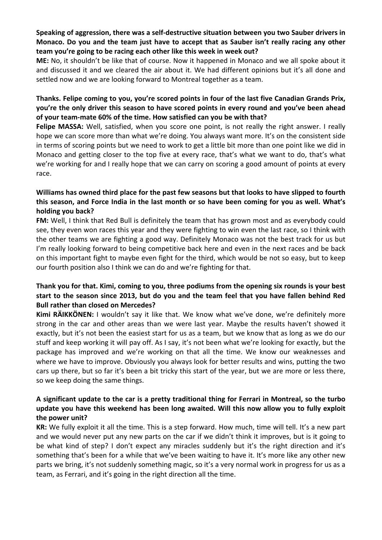# Speaking of aggression, there was a self-destructive situation between you two Sauber drivers in **Monaco.** Do you and the team just have to accept that as Sauber isn't really racing any other team you're going to be racing each other like this week in week out?

**ME:** No, it shouldn't be like that of course. Now it happened in Monaco and we all spoke about it and discussed it and we cleared the air about it. We had different opinions but it's all done and settled now and we are looking forward to Montreal together as a team.

## Thanks. Felipe coming to you, you're scored points in four of the last five Canadian Grands Prix, **you're the only driver this season to have scored points in every round and you've been ahead** of your team-mate 60% of the time. How satisfied can you be with that?

**Felipe MASSA:** Well, satisfied, when you score one point, is not really the right answer. I really hope we can score more than what we're doing. You always want more. It's on the consistent side in terms of scoring points but we need to work to get a little bit more than one point like we did in Monaco and getting closer to the top five at every race, that's what we want to do, that's what we're working for and I really hope that we can carry on scoring a good amount of points at every race. 

# Williams has owned third place for the past few seasons but that looks to have slipped to fourth this season, and Force India in the last month or so have been coming for you as well. What's holding you back?

**FM:** Well, I think that Red Bull is definitely the team that has grown most and as everybody could see, they even won races this year and they were fighting to win even the last race, so I think with the other teams we are fighting a good way. Definitely Monaco was not the best track for us but I'm really looking forward to being competitive back here and even in the next races and be back on this important fight to maybe even fight for the third, which would be not so easy, but to keep our fourth position also I think we can do and we're fighting for that.

# Thank you for that. Kimi, coming to you, three podiums from the opening six rounds is your best start to the season since 2013, but do you and the team feel that you have fallen behind Red **Bull rather than closed on Mercedes?**

Kimi RÄIKKÖNEN: I wouldn't say it like that. We know what we've done, we're definitely more strong in the car and other areas than we were last year. Maybe the results haven't showed it exactly, but it's not been the easiest start for us as a team, but we know that as long as we do our stuff and keep working it will pay off. As I say, it's not been what we're looking for exactly, but the package has improved and we're working on that all the time. We know our weaknesses and where we have to improve. Obviously you always look for better results and wins, putting the two cars up there, but so far it's been a bit tricky this start of the year, but we are more or less there, so we keep doing the same things.

# A significant update to the car is a pretty traditional thing for Ferrari in Montreal, so the turbo update you have this weekend has been long awaited. Will this now allow you to fully exploit the power unit?

**KR:** We fully exploit it all the time. This is a step forward. How much, time will tell. It's a new part and we would never put any new parts on the car if we didn't think it improves, but is it going to be what kind of step? I don't expect any miracles suddenly but it's the right direction and it's something that's been for a while that we've been waiting to have it. It's more like any other new parts we bring, it's not suddenly something magic, so it's a very normal work in progress for us as a team, as Ferrari, and it's going in the right direction all the time.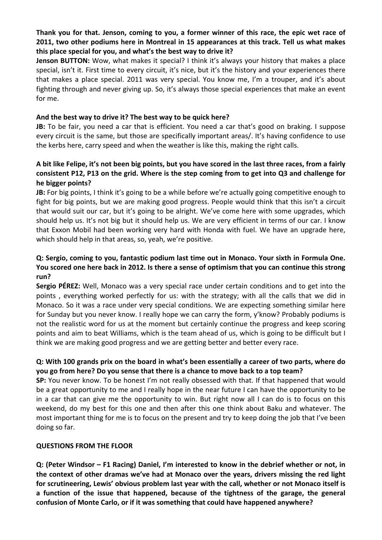# Thank you for that. Jenson, coming to you, a former winner of this race, the epic wet race of **2011, two other podiums here in Montreal in 15 appearances at this track. Tell us what makes** this place special for you, and what's the best way to drive it?

**Jenson BUTTON:** Wow, what makes it special? I think it's always your history that makes a place special, isn't it. First time to every circuit, it's nice, but it's the history and your experiences there that makes a place special. 2011 was very special. You know me, I'm a trouper, and it's about fighting through and never giving up. So, it's always those special experiences that make an event for me.

#### And the best way to drive it? The best way to be quick here?

**JB:** To be fair, you need a car that is efficient. You need a car that's good on braking. I suppose every circuit is the same, but those are specifically important areas/. It's having confidence to use the kerbs here, carry speed and when the weather is like this, making the right calls.

## A bit like Felipe, it's not been big points, but you have scored in the last three races, from a fairly consistent P12, P13 on the grid. Where is the step coming from to get into Q3 and challenge for **he bigger points?**

**JB:** For big points, I think it's going to be a while before we're actually going competitive enough to fight for big points, but we are making good progress. People would think that this isn't a circuit that would suit our car, but it's going to be alright. We've come here with some upgrades, which should help us. It's not big but it should help us. We are very efficient in terms of our car. I know that Exxon Mobil had been working very hard with Honda with fuel. We have an upgrade here, which should help in that areas, so, yeah, we're positive.

## **Q: Sergio, coming to you, fantastic podium last time out in Monaco. Your sixth in Formula One. You scored one here back in 2012. Is there a sense of optimism that you can continue this strong run?**

**Sergio PÉREZ:** Well, Monaco was a very special race under certain conditions and to get into the points, everything worked perfectly for us: with the strategy; with all the calls that we did in Monaco. So it was a race under very special conditions. We are expecting something similar here for Sunday but you never know. I really hope we can carry the form, y'know? Probably podiums is not the realistic word for us at the moment but certainly continue the progress and keep scoring points and aim to beat Williams, which is the team ahead of us, which is going to be difficult but I think we are making good progress and we are getting better and better every race.

## **Q: With 100 grands prix on the board in what's been essentially a career of two parts, where do you** go from here? Do you sense that there is a chance to move back to a top team?

**SP:** You never know. To be honest I'm not really obsessed with that. If that happened that would be a great opportunity to me and I really hope in the near future I can have the opportunity to be in a car that can give me the opportunity to win. But right now all I can do is to focus on this weekend, do my best for this one and then after this one think about Baku and whatever. The most important thing for me is to focus on the present and try to keep doing the job that I've been doing so far.

#### **QUESTIONS FROM THE FLOOR**

**Q:** (Peter Windsor – F1 Racing) Daniel, I'm interested to know in the debrief whether or not, in the context of other dramas we've had at Monaco over the years, drivers missing the red light for scrutineering, Lewis' obvious problem last year with the call, whether or not Monaco itself is a function of the issue that happened, because of the tightness of the garage, the general confusion of Monte Carlo, or if it was something that could have happened anywhere?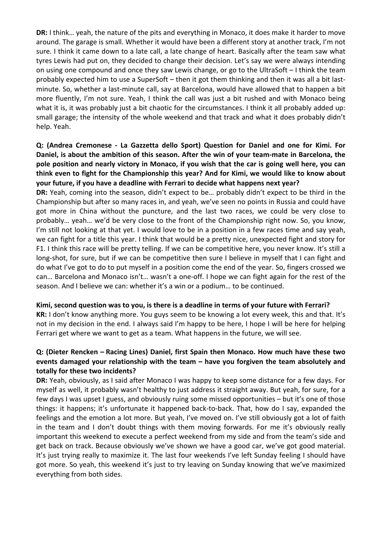**DR:** I think... yeah, the nature of the pits and everything in Monaco, it does make it harder to move around. The garage is small. Whether it would have been a different story at another track, I'm not sure. I think it came down to a late call, a late change of heart. Basically after the team saw what tyres Lewis had put on, they decided to change their decision. Let's say we were always intending on using one compound and once they saw Lewis change, or go to the UltraSoft - I think the team probably expected him to use a SuperSoft – then it got them thinking and then it was all a bit lastminute. So, whether a last-minute call, say at Barcelona, would have allowed that to happen a bit more fluently, I'm not sure. Yeah, I think the call was just a bit rushed and with Monaco being what it is, it was probably just a bit chaotic for the circumstances. I think it all probably added up: small garage; the intensity of the whole weekend and that track and what it does probably didn't help. Yeah.

# **Q: (Andrea Cremonese - La Gazzetta dello Sport) Question for Daniel and one for Kimi. For**  Daniel, is about the ambition of this season. After the win of your team-mate in Barcelona, the pole position and nearly victory in Monaco, if you wish that the car is going well here, you can think even to fight for the Championship this year? And for Kimi, we would like to know about **your future, if you have a deadline with Ferrari to decide what happens next year?**

**DR:** Yeah, coming into the season, didn't expect to be... probably didn't expect to be third in the Championship but after so many races in, and yeah, we've seen no points in Russia and could have got more in China without the puncture, and the last two races, we could be very close to probably... yeah... we'd be very close to the front of the Championship right now. So, you know, I'm still not looking at that yet. I would love to be in a position in a few races time and say yeah, we can fight for a title this year. I think that would be a pretty nice, unexpected fight and story for F1. I think this race will be pretty telling. If we can be competitive here, you never know. It's still a long-shot, for sure, but if we can be competitive then sure I believe in myself that I can fight and do what I've got to do to put myself in a position come the end of the year. So, fingers crossed we can... Barcelona and Monaco isn't... wasn't a one-off. I hope we can fight again for the rest of the season. And I believe we can: whether it's a win or a podium... to be continued.

## Kimi, second question was to you, is there is a deadline in terms of your future with Ferrari?

**KR:** I don't know anything more. You guys seem to be knowing a lot every week, this and that. It's not in my decision in the end. I always said I'm happy to be here, I hope I will be here for helping Ferrari get where we want to get as a team. What happens in the future, we will see.

# **Q: (Dieter Rencken – Racing Lines) Daniel, first Spain then Monaco. How much have these two**  events damaged your relationship with the team – have you forgiven the team absolutely and **totally for these two incidents?**

**DR:** Yeah, obviously, as I said after Monaco I was happy to keep some distance for a few days. For myself as well, it probably wasn't healthy to just address it straight away. But yeah, for sure, for a few days I was upset I guess, and obviously ruing some missed opportunities  $-$  but it's one of those things: it happens; it's unfortunate it happened back-to-back. That, how do I say, expanded the feelings and the emotion a lot more. But yeah, I've moved on. I've still obviously got a lot of faith in the team and I don't doubt things with them moving forwards. For me it's obviously really important this weekend to execute a perfect weekend from my side and from the team's side and get back on track. Because obviously we've shown we have a good car, we've got good material. It's just trying really to maximize it. The last four weekends I've left Sunday feeling I should have got more. So yeah, this weekend it's just to try leaving on Sunday knowing that we've maximized everything from both sides.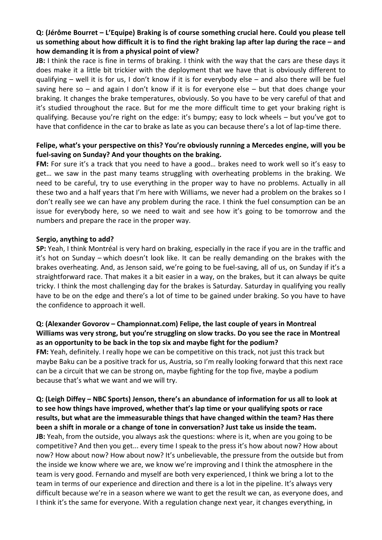# **Q: (Jérôme Bourret – L'Equipe) Braking is of course something crucial here. Could you please tell**  us something about how difficult it is to find the right braking lap after lap during the race – and how demanding it is from a physical point of view?

**JB:** I think the race is fine in terms of braking. I think with the way that the cars are these days it does make it a little bit trickier with the deployment that we have that is obviously different to qualifying – well it is for us, I don't know if it is for everybody else – and also there will be fuel saving here so – and again I don't know if it is for everyone else – but that does change your braking. It changes the brake temperatures, obviously. So you have to be very careful of that and it's studied throughout the race. But for me the more difficult time to get your braking right is qualifying. Because you're right on the edge: it's bumpy; easy to lock wheels  $-$  but you've got to have that confidence in the car to brake as late as you can because there's a lot of lap-time there.

# Felipe, what's your perspective on this? You're obviously running a Mercedes engine, will you be fuel-saving on Sunday? And your thoughts on the braking.

FM: For sure it's a track that you need to have a good... brakes need to work well so it's easy to get... we saw in the past many teams struggling with overheating problems in the braking. We need to be careful, try to use everything in the proper way to have no problems. Actually in all these two and a half years that I'm here with Williams, we never had a problem on the brakes so I don't really see we can have any problem during the race. I think the fuel consumption can be an issue for everybody here, so we need to wait and see how it's going to be tomorrow and the numbers and prepare the race in the proper way.

## Sergio, anything to add?

**SP:** Yeah, I think Montréal is very hard on braking, especially in the race if you are in the traffic and it's hot on Sunday – which doesn't look like. It can be really demanding on the brakes with the brakes overheating. And, as Jenson said, we're going to be fuel-saving, all of us, on Sunday if it's a straightforward race. That makes it a bit easier in a way, on the brakes, but it can always be quite tricky. I think the most challenging day for the brakes is Saturday. Saturday in qualifying you really have to be on the edge and there's a lot of time to be gained under braking. So you have to have the confidence to approach it well.

## **Q: (Alexander Govorov – Championnat.com) Felipe, the last couple of years in Montreal** Williams was very strong, but you're struggling on slow tracks. Do you see the race in Montreal as an opportunity to be back in the top six and maybe fight for the podium?

**FM:** Yeah, definitely. I really hope we can be competitive on this track, not just this track but maybe Baku can be a positive track for us, Austria, so I'm really looking forward that this next race can be a circuit that we can be strong on, maybe fighting for the top five, maybe a podium because that's what we want and we will try.

**Q: (Leigh Diffey – NBC Sports) Jenson, there's an abundance of information for us all to look at**  to see how things have improved, whether that's lap time or your qualifying spots or race results, but what are the immeasurable things that have changed within the team? Has there **been a shift in morale or a change of tone in conversation? Just take us inside the team. JB:** Yeah, from the outside, you always ask the questions: where is it, when are you going to be competitive? And then you get... every time I speak to the press it's how about now? How about now? How about now? How about now? It's unbelievable, the pressure from the outside but from the inside we know where we are, we know we're improving and I think the atmosphere in the team is very good. Fernando and myself are both very experienced, I think we bring a lot to the team in terms of our experience and direction and there is a lot in the pipeline. It's always very difficult because we're in a season where we want to get the result we can, as everyone does, and I think it's the same for everyone. With a regulation change next year, it changes everything, in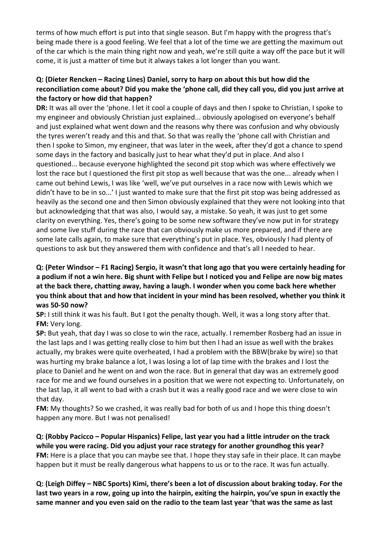terms of how much effort is put into that single season. But I'm happy with the progress that's being made there is a good feeling. We feel that a lot of the time we are getting the maximum out of the car which is the main thing right now and yeah, we're still quite a way off the pace but it will come, it is just a matter of time but it always takes a lot longer than you want.

# **Q: (Dieter Rencken – Racing Lines) Daniel, sorry to harp on about this but how did the** reconciliation come about? Did you make the 'phone call, did they call you, did you just arrive at the factory or how did that happen?

**DR:** It was all over the 'phone. I let it cool a couple of days and then I spoke to Christian, I spoke to my engineer and obviously Christian just explained... obviously apologised on everyone's behalf and just explained what went down and the reasons why there was confusion and why obviously the tyres weren't ready and this and that. So that was really the 'phone call with Christian and then I spoke to Simon, my engineer, that was later in the week, after they'd got a chance to spend some days in the factory and basically just to hear what they'd put in place. And also I questioned... because everyone highlighted the second pit stop which was where effectively we lost the race but I questioned the first pit stop as well because that was the one... already when I came out behind Lewis, I was like 'well, we've put ourselves in a race now with Lewis which we didn't have to be in so...' I just wanted to make sure that the first pit stop was being addressed as heavily as the second one and then Simon obviously explained that they were not looking into that but acknowledging that that was also, I would say, a mistake. So yeah, it was just to get some clarity on everything. Yes, there's going to be some new software they've now put in for strategy and some live stuff during the race that can obviously make us more prepared, and if there are some late calls again, to make sure that everything's put in place. Yes, obviously I had plenty of questions to ask but they answered them with confidence and that's all I needed to hear.

# **Q:** (Peter Windsor – F1 Racing) Sergio, it wasn't that long ago that you were certainly heading for a podium if not a win here. Big shunt with Felipe but I noticed you and Felipe are now big mates at the back there, chatting away, having a laugh. I wonder when you come back here whether **you think about that and how that incident in your mind has been resolved, whether you think it was 50-50 now?**

**SP:** I still think it was his fault. But I got the penalty though. Well, it was a long story after that. **FM:** Very long.

**SP:** But yeah, that day I was so close to win the race, actually. I remember Rosberg had an issue in the last laps and I was getting really close to him but then I had an issue as well with the brakes actually, my brakes were quite overheated, I had a problem with the BBW(brake by wire) so that was hurting my brake balance a lot, I was losing a lot of lap time with the brakes and I lost the place to Daniel and he went on and won the race. But in general that day was an extremely good race for me and we found ourselves in a position that we were not expecting to. Unfortunately, on the last lap, it all went to bad with a crash but it was a really good race and we were close to win that day.

**FM:** My thoughts? So we crashed, it was really bad for both of us and I hope this thing doesn't happen any more. But I was not penalised!

**Q:** (Robby Pacicco – Popular Hispanics) Felipe, last year you had a little intruder on the track while you were racing. Did you adjust your race strategy for another groundhog this year? **FM:** Here is a place that you can maybe see that. I hope they stay safe in their place. It can maybe happen but it must be really dangerous what happens to us or to the race. It was fun actually.

**Q: (Leigh Diffey – NBC Sports) Kimi, there's been a lot of discussion about braking today. For the**  last two years in a row, going up into the hairpin, exiting the hairpin, you've spun in exactly the same manner and you even said on the radio to the team last year 'that was the same as last